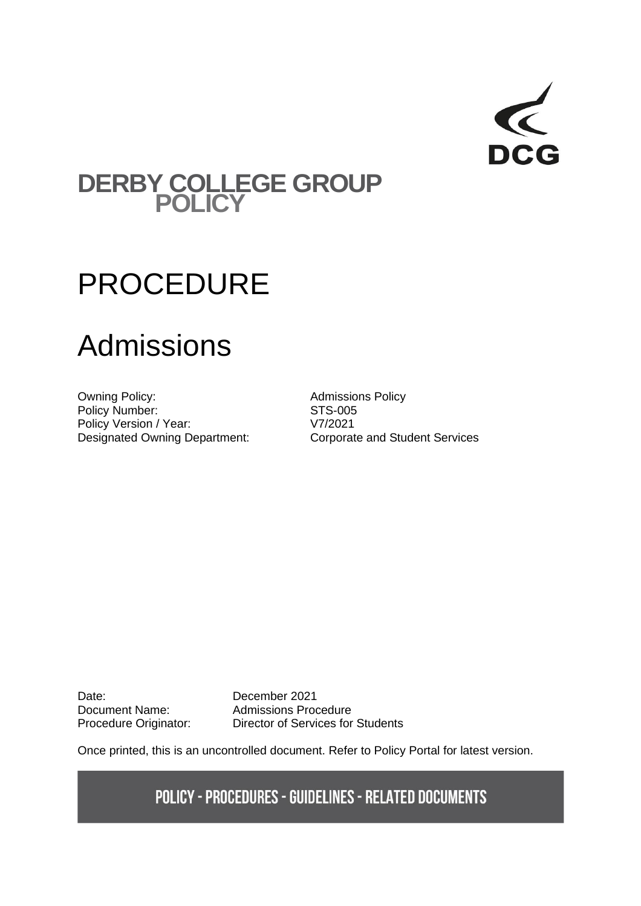

## **DERBY COLLEGE GROUP POLICY**

# PROCEDURE

# Admissions

Owning Policy: and Admissions Policy Policy Number: STS-005<br>Policy Version / Year: V7/2021 Policy Version / Year: Designated Owning Department: Corporate and Student Services

Date: December 2021<br>Document Name: Admissions Proc

Document Name: Admissions Procedure<br>Procedure Originator: Director of Services for Director of Services for Students

Once printed, this is an uncontrolled document. Refer to Policy Portal for latest version.

**POLICY - PROCEDURES - GUIDELINES - RELATED DOCUMENTS**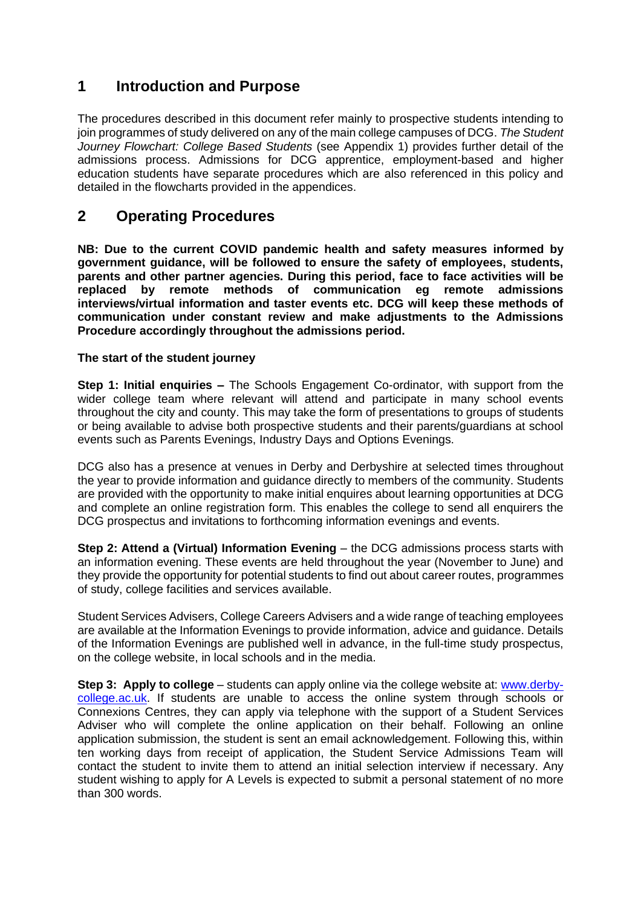### **1 Introduction and Purpose**

The procedures described in this document refer mainly to prospective students intending to join programmes of study delivered on any of the main college campuses of DCG. *The Student Journey Flowchart: College Based Students* (see Appendix 1) provides further detail of the admissions process. Admissions for DCG apprentice, employment-based and higher education students have separate procedures which are also referenced in this policy and detailed in the flowcharts provided in the appendices.

### **2 Operating Procedures**

**NB: Due to the current COVID pandemic health and safety measures informed by government guidance, will be followed to ensure the safety of employees, students, parents and other partner agencies. During this period, face to face activities will be replaced by remote methods of communication eg remote admissions interviews/virtual information and taster events etc. DCG will keep these methods of communication under constant review and make adjustments to the Admissions Procedure accordingly throughout the admissions period.**

#### **The start of the student journey**

**Step 1: Initial enquiries –** The Schools Engagement Co-ordinator, with support from the wider college team where relevant will attend and participate in many school events throughout the city and county. This may take the form of presentations to groups of students or being available to advise both prospective students and their parents/guardians at school events such as Parents Evenings, Industry Days and Options Evenings.

DCG also has a presence at venues in Derby and Derbyshire at selected times throughout the year to provide information and guidance directly to members of the community. Students are provided with the opportunity to make initial enquires about learning opportunities at DCG and complete an online registration form. This enables the college to send all enquirers the DCG prospectus and invitations to forthcoming information evenings and events.

**Step 2: Attend a (Virtual) Information Evening** – the DCG admissions process starts with an information evening. These events are held throughout the year (November to June) and they provide the opportunity for potential students to find out about career routes, programmes of study, college facilities and services available.

Student Services Advisers, College Careers Advisers and a wide range of teaching employees are available at the Information Evenings to provide information, advice and guidance. Details of the Information Evenings are published well in advance, in the full-time study prospectus, on the college website, in local schools and in the media.

**Step 3: Apply to college** – students can apply online via the college website at: [www.derby](http://www.derby-college.ac.uk/)[college.ac.uk.](http://www.derby-college.ac.uk/) If students are unable to access the online system through schools or Connexions Centres, they can apply via telephone with the support of a Student Services Adviser who will complete the online application on their behalf. Following an online application submission, the student is sent an email acknowledgement. Following this, within ten working days from receipt of application, the Student Service Admissions Team will contact the student to invite them to attend an initial selection interview if necessary. Any student wishing to apply for A Levels is expected to submit a personal statement of no more than 300 words.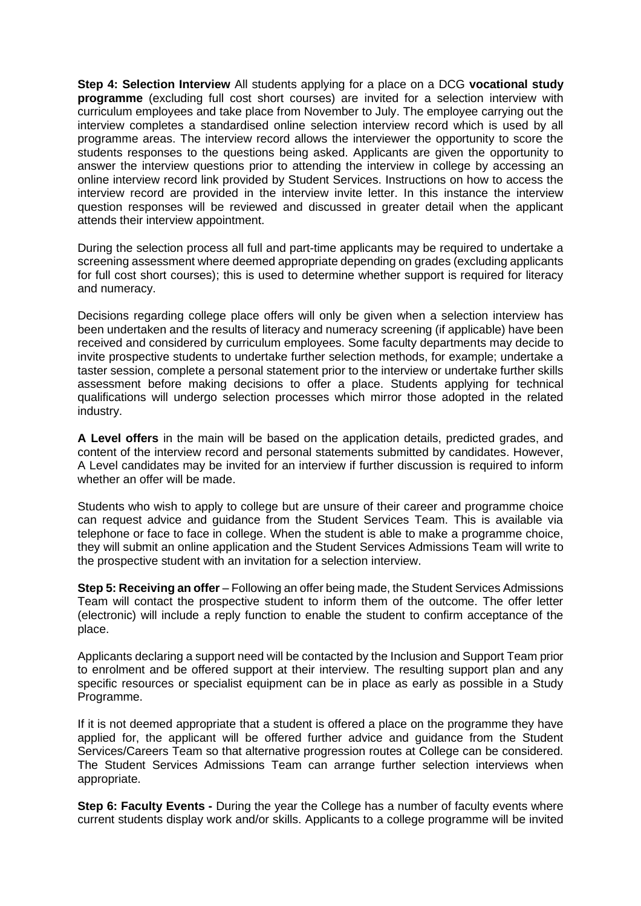**Step 4: Selection Interview** All students applying for a place on a DCG **vocational study programme** (excluding full cost short courses) are invited for a selection interview with curriculum employees and take place from November to July. The employee carrying out the interview completes a standardised online selection interview record which is used by all programme areas. The interview record allows the interviewer the opportunity to score the students responses to the questions being asked. Applicants are given the opportunity to answer the interview questions prior to attending the interview in college by accessing an online interview record link provided by Student Services. Instructions on how to access the interview record are provided in the interview invite letter. In this instance the interview question responses will be reviewed and discussed in greater detail when the applicant attends their interview appointment.

During the selection process all full and part-time applicants may be required to undertake a screening assessment where deemed appropriate depending on grades (excluding applicants for full cost short courses); this is used to determine whether support is required for literacy and numeracy.

Decisions regarding college place offers will only be given when a selection interview has been undertaken and the results of literacy and numeracy screening (if applicable) have been received and considered by curriculum employees. Some faculty departments may decide to invite prospective students to undertake further selection methods, for example; undertake a taster session, complete a personal statement prior to the interview or undertake further skills assessment before making decisions to offer a place. Students applying for technical qualifications will undergo selection processes which mirror those adopted in the related industry.

**A Level offers** in the main will be based on the application details, predicted grades, and content of the interview record and personal statements submitted by candidates. However, A Level candidates may be invited for an interview if further discussion is required to inform whether an offer will be made.

Students who wish to apply to college but are unsure of their career and programme choice can request advice and guidance from the Student Services Team. This is available via telephone or face to face in college. When the student is able to make a programme choice, they will submit an online application and the Student Services Admissions Team will write to the prospective student with an invitation for a selection interview.

**Step 5: Receiving an offer** – Following an offer being made, the Student Services Admissions Team will contact the prospective student to inform them of the outcome. The offer letter (electronic) will include a reply function to enable the student to confirm acceptance of the place.

Applicants declaring a support need will be contacted by the Inclusion and Support Team prior to enrolment and be offered support at their interview. The resulting support plan and any specific resources or specialist equipment can be in place as early as possible in a Study Programme.

If it is not deemed appropriate that a student is offered a place on the programme they have applied for, the applicant will be offered further advice and guidance from the Student Services/Careers Team so that alternative progression routes at College can be considered. The Student Services Admissions Team can arrange further selection interviews when appropriate.

**Step 6: Faculty Events -** During the year the College has a number of faculty events where current students display work and/or skills. Applicants to a college programme will be invited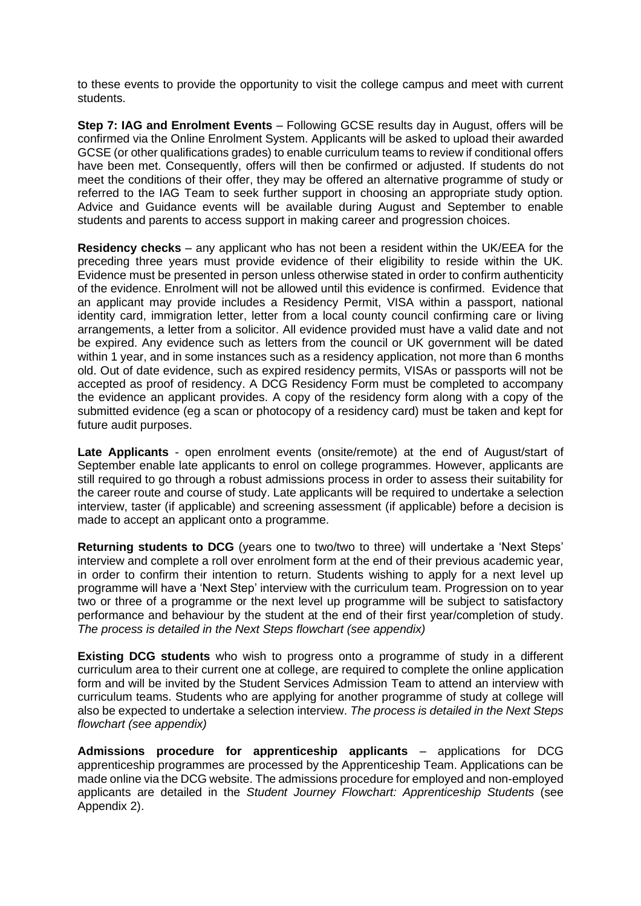to these events to provide the opportunity to visit the college campus and meet with current students.

**Step 7: IAG and Enrolment Events** – Following GCSE results day in August, offers will be confirmed via the Online Enrolment System. Applicants will be asked to upload their awarded GCSE (or other qualifications grades) to enable curriculum teams to review if conditional offers have been met. Consequently, offers will then be confirmed or adjusted. If students do not meet the conditions of their offer, they may be offered an alternative programme of study or referred to the IAG Team to seek further support in choosing an appropriate study option. Advice and Guidance events will be available during August and September to enable students and parents to access support in making career and progression choices.

**Residency checks** – any applicant who has not been a resident within the UK/EEA for the preceding three years must provide evidence of their eligibility to reside within the UK. Evidence must be presented in person unless otherwise stated in order to confirm authenticity of the evidence. Enrolment will not be allowed until this evidence is confirmed. Evidence that an applicant may provide includes a Residency Permit, VISA within a passport, national identity card, immigration letter, letter from a local county council confirming care or living arrangements, a letter from a solicitor. All evidence provided must have a valid date and not be expired. Any evidence such as letters from the council or UK government will be dated within 1 year, and in some instances such as a residency application, not more than 6 months old. Out of date evidence, such as expired residency permits, VISAs or passports will not be accepted as proof of residency. A DCG Residency Form must be completed to accompany the evidence an applicant provides. A copy of the residency form along with a copy of the submitted evidence (eg a scan or photocopy of a residency card) must be taken and kept for future audit purposes.

**Late Applicants** - open enrolment events (onsite/remote) at the end of August/start of September enable late applicants to enrol on college programmes. However, applicants are still required to go through a robust admissions process in order to assess their suitability for the career route and course of study. Late applicants will be required to undertake a selection interview, taster (if applicable) and screening assessment (if applicable) before a decision is made to accept an applicant onto a programme.

**Returning students to DCG** (years one to two/two to three) will undertake a 'Next Steps' interview and complete a roll over enrolment form at the end of their previous academic year, in order to confirm their intention to return. Students wishing to apply for a next level up programme will have a 'Next Step' interview with the curriculum team. Progression on to year two or three of a programme or the next level up programme will be subject to satisfactory performance and behaviour by the student at the end of their first year/completion of study. *The process is detailed in the Next Steps flowchart (see appendix)*

**Existing DCG students** who wish to progress onto a programme of study in a different curriculum area to their current one at college, are required to complete the online application form and will be invited by the Student Services Admission Team to attend an interview with curriculum teams. Students who are applying for another programme of study at college will also be expected to undertake a selection interview. *The process is detailed in the Next Steps flowchart (see appendix)*

**Admissions procedure for apprenticeship applicants** – applications for DCG apprenticeship programmes are processed by the Apprenticeship Team. Applications can be made online via the DCG website. The admissions procedure for employed and non-employed applicants are detailed in the *Student Journey Flowchart: Apprenticeship Students* (see Appendix 2).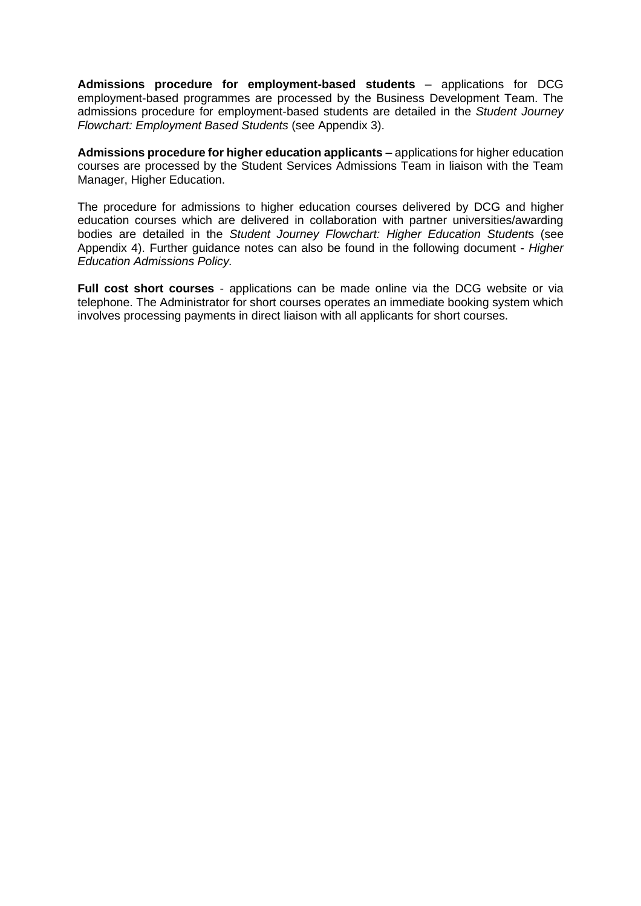**Admissions procedure for employment-based students** – applications for DCG employment-based programmes are processed by the Business Development Team. The admissions procedure for employment-based students are detailed in the *Student Journey Flowchart: Employment Based Students* (see Appendix 3).

**Admissions procedure for higher education applicants –** applications for higher education courses are processed by the Student Services Admissions Team in liaison with the Team Manager, Higher Education.

The procedure for admissions to higher education courses delivered by DCG and higher education courses which are delivered in collaboration with partner universities/awarding bodies are detailed in the *Student Journey Flowchart: Higher Education Student*s (see Appendix 4). Further guidance notes can also be found in the following document - *Higher Education Admissions Policy.*

**Full cost short courses** - applications can be made online via the DCG website or via telephone. The Administrator for short courses operates an immediate booking system which involves processing payments in direct liaison with all applicants for short courses.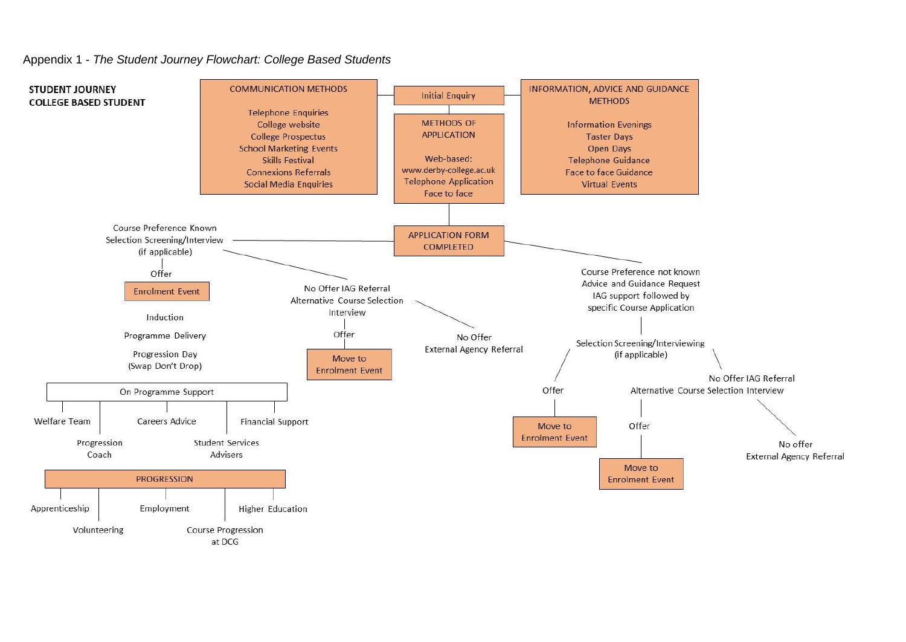#### Appendix 1 - *The Student Journey Flowchart: College Based Students*



at DCG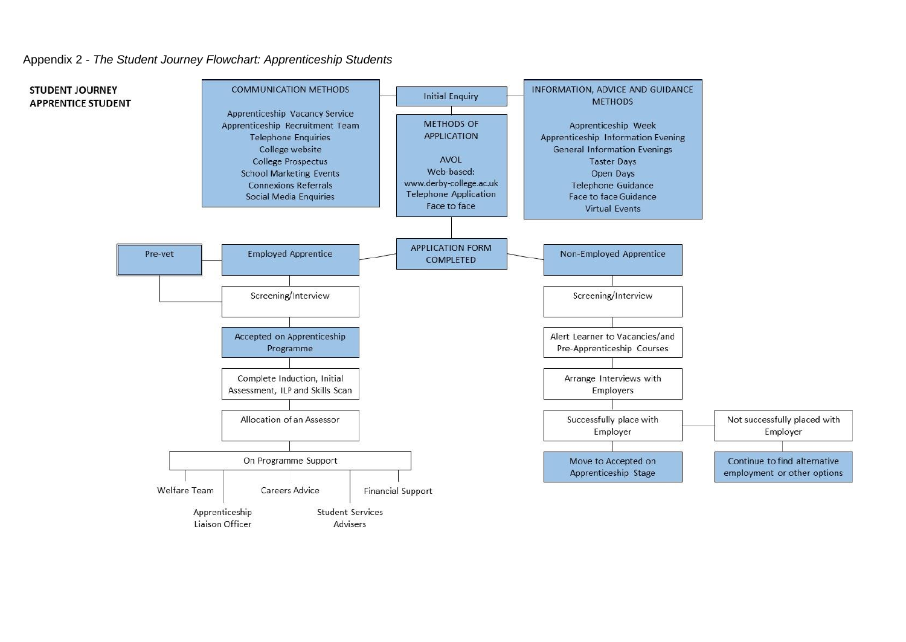

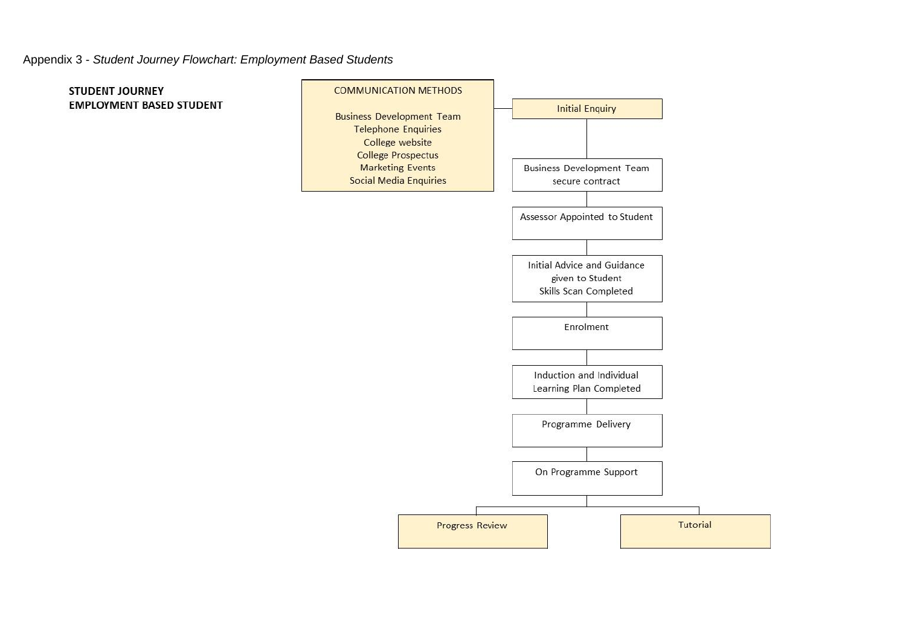#### Appendix 3 - *Student Journey Flowchart: Employment Based Students*

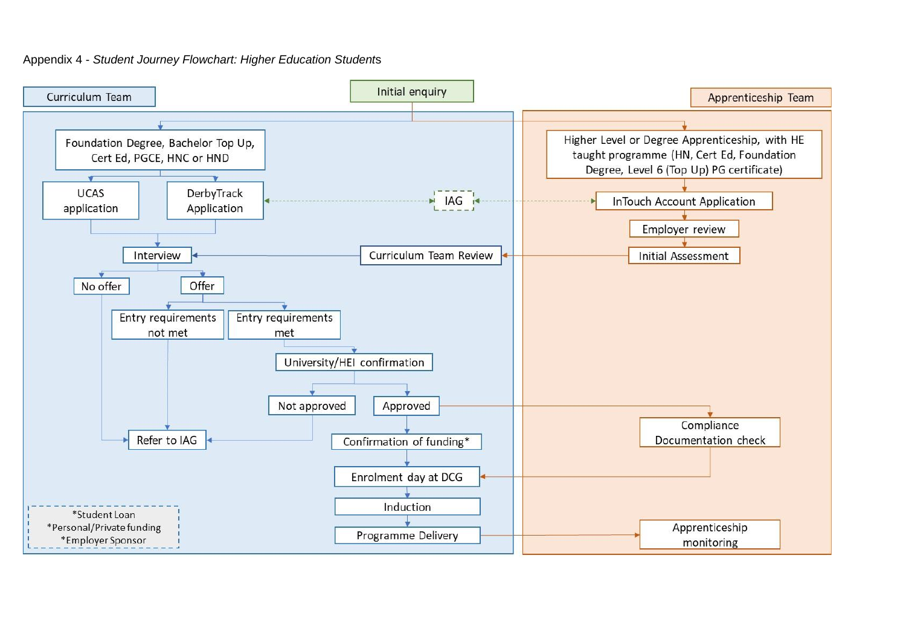#### Appendix 4 - *Student Journey Flowchart: Higher Education Student*s